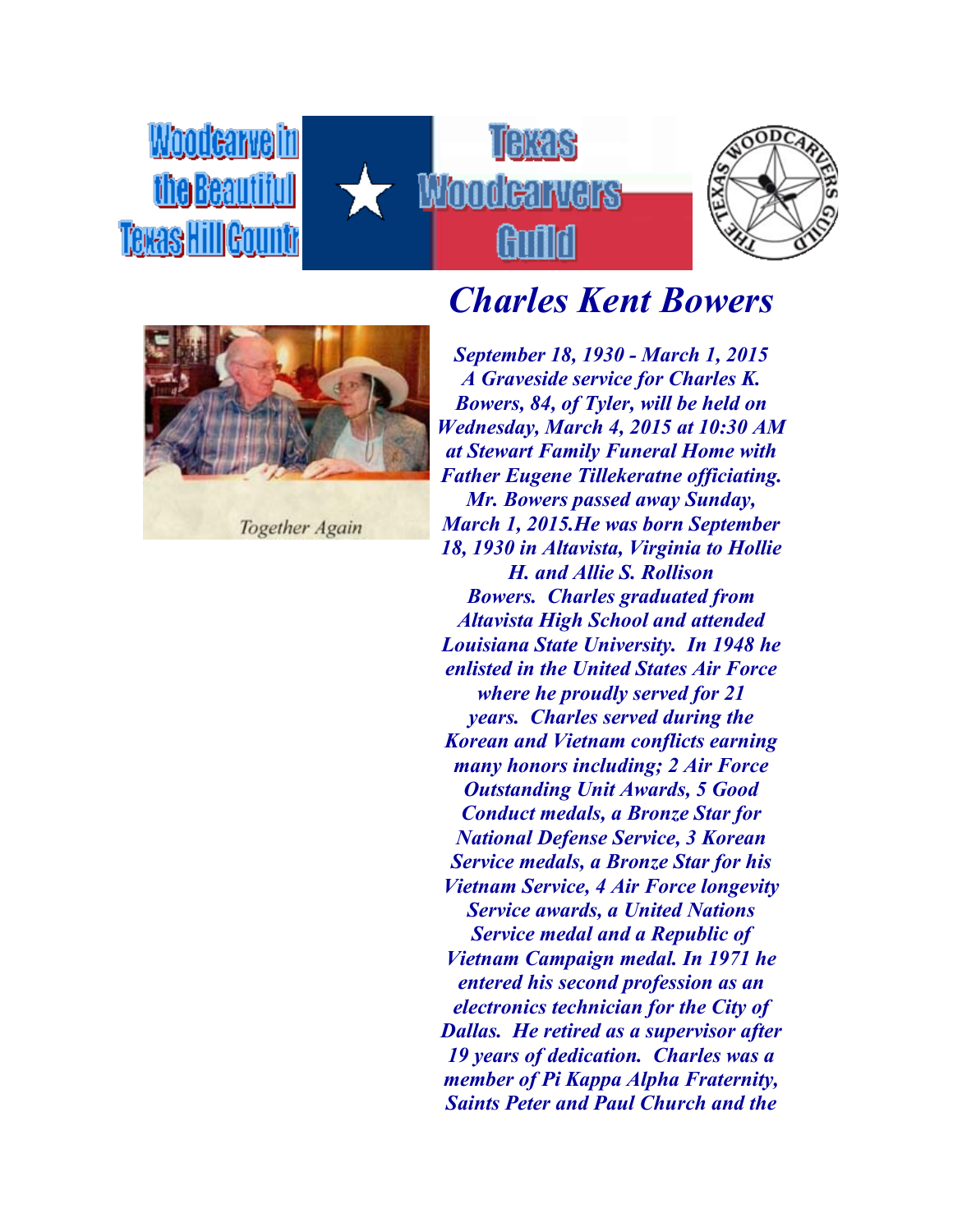*Moodearvelin* the Beautiful Texas Hill Countr







**Together Again** 

## *Charles Kent Bowers*

*September 18, 1930 - March 1, 2015 A Graveside service for Charles K. Bowers, 84, of Tyler, will be held on Wednesday, March 4, 2015 at 10:30 AM at Stewart Family Funeral Home with Father Eugene Tillekeratne officiating. Mr. Bowers passed away Sunday, March 1, 2015.He was born September 18, 1930 in Altavista, Virginia to Hollie H. and Allie S. Rollison Bowers. Charles graduated from Altavista High School and attended Louisiana State University. In 1948 he enlisted in the United States Air Force where he proudly served for 21 years. Charles served during the Korean and Vietnam conflicts earning many honors including; 2 Air Force Outstanding Unit Awards, 5 Good Conduct medals, a Bronze Star for National Defense Service, 3 Korean Service medals, a Bronze Star for his Vietnam Service, 4 Air Force longevity Service awards, a United Nations Service medal and a Republic of Vietnam Campaign medal. In 1971 he entered his second profession as an electronics technician for the City of Dallas. He retired as a supervisor after 19 years of dedication. Charles was a member of Pi Kappa Alpha Fraternity, Saints Peter and Paul Church and the*